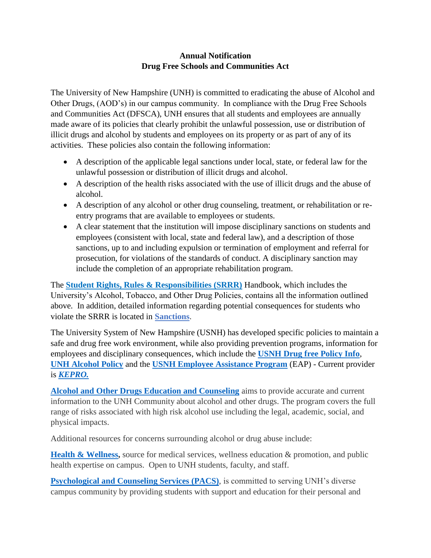## **Annual Notification Drug Free Schools and Communities Act**

The University of New Hampshire (UNH) is committed to eradicating the abuse of Alcohol and Other Drugs, (AOD's) in our campus community. In compliance with the Drug Free Schools and Communities Act (DFSCA), UNH ensures that all students and employees are annually made aware of its policies that clearly prohibit the unlawful possession, use or distribution of illicit drugs and alcohol by students and employees on its property or as part of any of its activities. These policies also contain the following information:

- A description of the applicable legal sanctions under local, state, or federal law for the unlawful possession or distribution of illicit drugs and alcohol.
- A description of the health risks associated with the use of illicit drugs and the abuse of alcohol.
- A description of any alcohol or other drug counseling, treatment, or rehabilitation or reentry programs that are available to employees or students.
- A clear statement that the institution will impose disciplinary sanctions on students and employees (consistent with local, state and federal law), and a description of those sanctions, up to and including expulsion or termination of employment and referral for prosecution, for violations of the standards of conduct. A disciplinary sanction may include the completion of an appropriate rehabilitation program.

The **[Student Rights, Rules & Responsibilities \(SRRR\)](https://nam12.safelinks.protection.outlook.com/?url=http%3A%2F%2Fclick.send.unh.edu%2F%3Fqs%3Ddef63d18952f1860ff236c30e6401a6e3ebc01e9994dfc4af2cbdb8df1d413ce9719478e9613daeb5d8b6233d11da16b753b677436c1c08e&data=02%7C01%7CChris.VanHorn%40unh.edu%7Ca080adb4681443a8d51008d8405c759e%7Cd6241893512d46dc8d2bbe47e25f5666%7C0%7C0%7C637330113139138089&sdata=xTMOug%2FUBsQQqkIfmpm71894vNbAHYaYHUHdR62%2FMNI%3D&reserved=0)** Handbook, which includes the University's Alcohol, Tobacco, and Other Drug Policies, contains all the information outlined above. In addition, detailed information regarding potential consequences for students who violate the SRRR is located in **[Sanctions](https://www.unh.edu/ocs/sanctions)**.

The University System of New Hampshire (USNH) has developed specific policies to maintain a safe and drug free work environment, while also providing prevention programs, information for employees and disciplinary consequences, which include the **USNH Drug [free Policy Info](https://www.usnh.edu/policy/usy/v-personnel-policies/d-employee-relations)**, **[UNH Alcohol Policy](https://www.usnh.edu/unh/iii-administrative-policies/k-alcohol-policy)** and the **[USNH Employee Assistance Program](https://www.unh.edu/hr/employee-assistance-program)** (EAP) - Current provider is *[KEPRO.](http://www.powerflexweb.com/1063/login.html)*

**[Alcohol and Other Drugs Education and Counseling](https://www.unh.edu/healthyunh/resource/alcohol-and-other-drugs-education-and-counseling)** aims to provide accurate and current information to the UNH Community about alcohol and other drugs. The program covers the full range of risks associated with high risk alcohol use including the legal, academic, social, and physical impacts.

Additional resources for concerns surrounding alcohol or drug abuse include:

**[Health & Wellness,](https://www.unh.edu/health/)** source for medical services, wellness education & promotion, and public health expertise on campus. Open to UNH students, faculty, and staff.

**Psychological [and Counseling Services \(PACS\)](https://www.unh.edu/pacs/)**, is committed to serving UNH's diverse campus community by providing students with support and education for their personal and